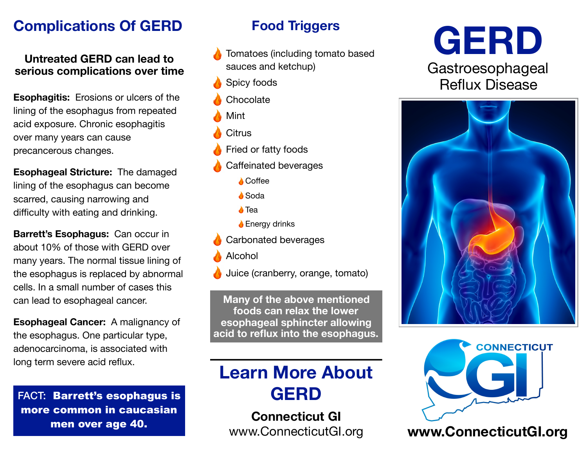## **Complications Of GERD**

#### **Untreated GERD can lead to serious complications over time**

**Esophagitis:** Erosions or ulcers of the lining of the esophagus from repeated acid exposure. Chronic esophagitis over many years can cause precancerous changes.

**Esophageal Stricture:** The damaged lining of the esophagus can become scarred, causing narrowing and difficulty with eating and drinking.

**Barrett's Esophagus:** Can occur in about 10% of those with GERD over many years. The normal tissue lining of the esophagus is replaced by abnormal cells. In a small number of cases this can lead to esophageal cancer.

**Esophageal Cancer:** A malignancy of the esophagus. One particular type, adenocarcinoma, is associated with long term severe acid reflux.

FACT: Barrett's esophagus is more common in caucasian men over age 40.

## **Food Triggers**

Tomatoes (including tomato based sauces and ketchup)

- Spicy foods
- **Chocolate**
- Mint
- **Citrus**
- Fried or fatty foods
- Caffeinated beverages
	- **A** Coffee
	- **A** Soda
	- **A** Tea
	- **↓** Energy drinks
	- Carbonated beverages
- Alcohol
- Juice (cranberry, orange, tomato)

**Many of the above mentioned foods can relax the lower esophageal sphincter allowing acid to reflux into the esophagus.**

# **Learn More About GERD**

**Connecticut GI**







[www.ConnecticutGI.org](http://www.connecticutgi.org) **[www.ConnecticutGI.org](http://www.connecticutgi.org)**